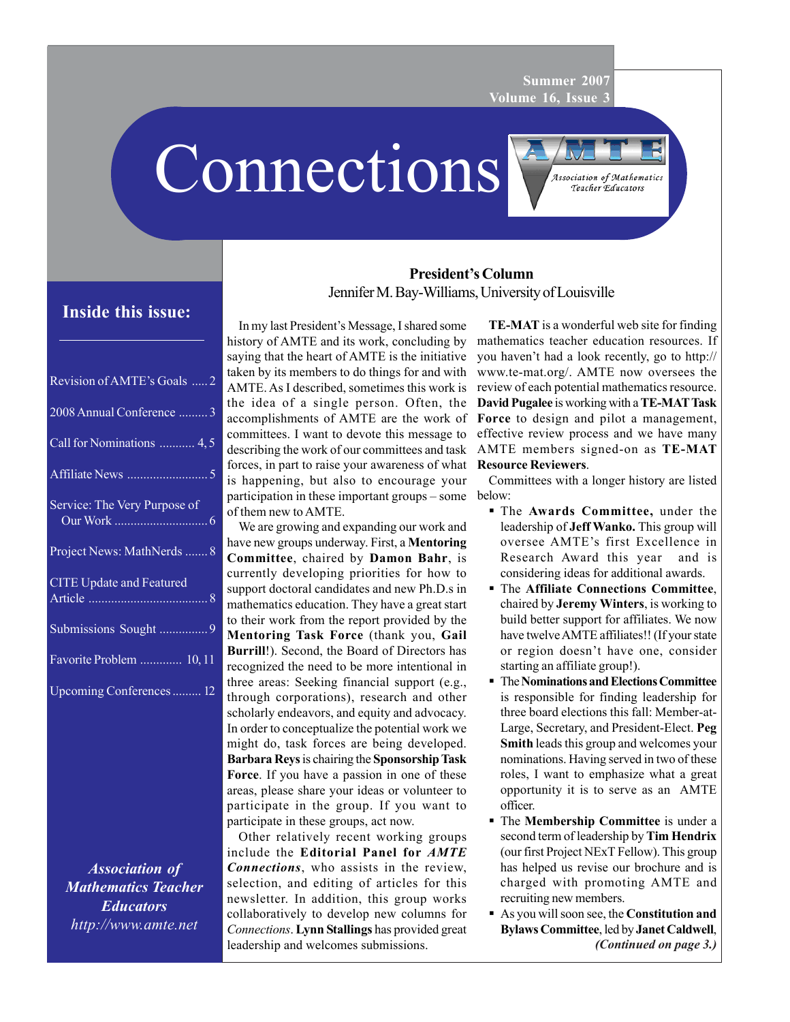**Summer 2007 Volume 16, Issue 3**

Connections



# **Inside this issue:**

| Revision of AMTE's Goals  2                                                                                                                          |
|------------------------------------------------------------------------------------------------------------------------------------------------------|
| 2008 Annual Conference  3                                                                                                                            |
| Call for Nominations  4,5                                                                                                                            |
|                                                                                                                                                      |
| Service: The Very Purpose of<br><b>Contract Contract Contract Contract Contract Contract Contract Contract Contract Contract Contract Contract C</b> |
| Project News: MathNerds  8                                                                                                                           |
| <b>CITE Update and Featured</b>                                                                                                                      |
| Submissions Sought 9                                                                                                                                 |
| Favorite Problem  10, 11                                                                                                                             |
| Upcoming Conferences 12                                                                                                                              |
|                                                                                                                                                      |

*Association of Mathematics Teacher Educators http://www.amte.net*

# **President's Column** Jennifer M. Bay-Williams, University of Louisville

In my last President's Message, I shared some history of AMTE and its work, concluding by saying that the heart of AMTE is the initiative taken by its members to do things for and with AMTE. As I described, sometimes this work is the idea of a single person. Often, the accomplishments of AMTE are the work of committees. I want to devote this message to describing the work of our committees and task forces, in part to raise your awareness of what **Resource Reviewers**. is happening, but also to encourage your participation in these important groups – some below: of them new to AMTE.

We are growing and expanding our work and have new groups underway. First, a **Mentoring Committee**, chaired by **Damon Bahr**, is currently developing priorities for how to support doctoral candidates and new Ph.D.s in mathematics education. They have a great start to their work from the report provided by the **Mentoring Task Force** (thank you, **Gail Burrill**!). Second, the Board of Directors has recognized the need to be more intentional in three areas: Seeking financial support (e.g., through corporations), research and other scholarly endeavors, and equity and advocacy. In order to conceptualize the potential work we might do, task forces are being developed. **Barbara Reys** is chairing the **Sponsorship Task Force**. If you have a passion in one of these areas, please share your ideas or volunteer to participate in the group. If you want to participate in these groups, act now.

Other relatively recent working groups include the **Editorial Panel for** *AMTE Connections*, who assists in the review, selection, and editing of articles for this newsletter. In addition, this group works collaboratively to develop new columns for *Connections*. **Lynn Stallings** has provided great leadership and welcomes submissions.

**TE-MAT** is a wonderful web site for finding mathematics teacher education resources. If you haven't had a look recently, go to http:// www.te-mat.org/. AMTE now oversees the review of each potential mathematics resource. **David Pugalee** is working with a **TE-MAT Task Force** to design and pilot a management, effective review process and we have many AMTE members signed-on as **TE-MAT**

Committees with a longer history are listed

- The **Awards Committee,** under the leadership of **Jeff Wanko.** This group will oversee AMTE's first Excellence in Research Award this year and is considering ideas for additional awards.
- The **Affiliate Connections Committee**, chaired by **Jeremy Winters**, is working to build better support for affiliates. We now have twelve AMTE affiliates!! (If your state or region doesn't have one, consider starting an affiliate group!).
- The **Nominations and ElectionsCommittee** is responsible for finding leadership for three board elections this fall: Member-at-Large, Secretary, and President-Elect. **Peg Smith** leads this group and welcomes your nominations. Having served in two of these roles, I want to emphasize what a great opportunity it is to serve as an AMTE officer.
- The **Membership Committee** is under a second term of leadership by **Tim Hendrix** (our first Project NExT Fellow). This group has helped us revise our brochure and is charged with promoting AMTE and recruiting new members.
- *(Continued on page 3.)* As you will soon see, the **Constitution and Bylaws Committee**, led by **Janet Caldwell**,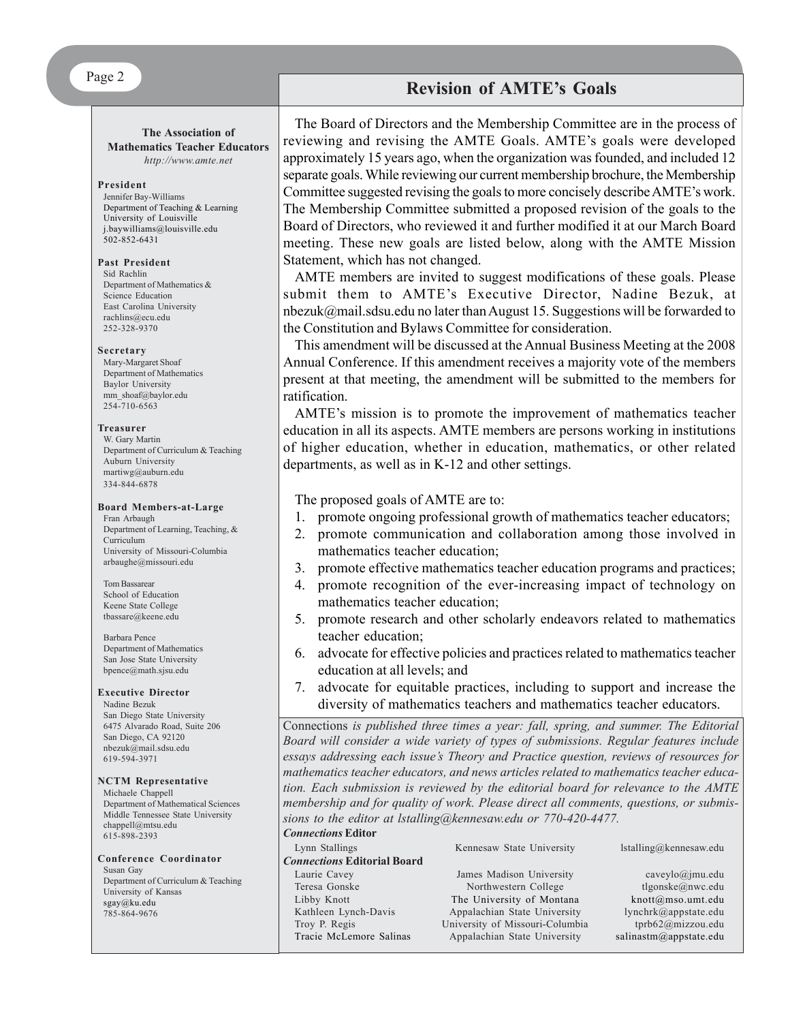**The Association of Mathematics Teacher Educators** *http://www.amte.net*

#### **President**

Jennifer Bay-Williams Department of Teaching & Learning University of Louisville j.baywilliams@louisville.edu  $502 - 852 - 6431$ 

#### **Past President**

Sid Rachlin Department of Mathematics & Science Education East Carolina University rachlins@ecu.edu 252-328-9370

#### **Secretary**

Mary-Margaret Shoaf Department of Mathematics Baylor University mm\_shoaf@baylor.edu 254-710-6563

#### **Treasurer**

W. Gary Martin Department of Curriculum & Teaching Auburn University martiwg@auburn.edu 334-844-6878

#### **Board Members-at-Large**

Fran Arbaugh Department of Learning, Teaching, & Curriculum University of Missouri-Columbia arbaughe@missouri.edu

Tom Bassarear School of Education Keene State College tbassare@keene.edu

Barbara Pence Department of Mathematics San Jose State University bpence@math.sjsu.edu

#### **Executive Director**

Nadine Bezuk San Diego State University 6475 Alvarado Road, Suite 206 San Diego, CA 92120 nbezuk@mail.sdsu.edu 619-594-3971

#### **NCTM Representative** Michaele Chappell

Department of Mathematical Sciences Middle Tennessee State University chappell@mtsu.edu 615-898-2393

**Conference Coordinator** Susan Gay Department of Curriculum & Teaching University of Kansas sgay@ku.edu 785-864-9676

# **Revision of AMTE's Goals**

The Board of Directors and the Membership Committee are in the process of reviewing and revising the AMTE Goals. AMTE's goals were developed approximately 15 years ago, when the organization was founded, and included 12 separate goals. While reviewing our current membership brochure, the Membership Committee suggested revising the goals to more concisely describe AMTE's work. The Membership Committee submitted a proposed revision of the goals to the Board of Directors, who reviewed it and further modified it at our March Board meeting. These new goals are listed below, along with the AMTE Mission Statement, which has not changed.

AMTE members are invited to suggest modifications of these goals. Please submit them to AMTE's Executive Director, Nadine Bezuk, at nbezuk@mail.sdsu.edu no later than August 15. Suggestions will be forwarded to the Constitution and Bylaws Committee for consideration.

This amendment will be discussed at the Annual Business Meeting at the 2008 Annual Conference. If this amendment receives a majority vote of the members present at that meeting, the amendment will be submitted to the members for ratification.

AMTE's mission is to promote the improvement of mathematics teacher education in all its aspects. AMTE members are persons working in institutions of higher education, whether in education, mathematics, or other related departments, as well as in K-12 and other settings.

## The proposed goals of AMTE are to:

- 1. promote ongoing professional growth of mathematics teacher educators;
- 2. promote communication and collaboration among those involved in mathematics teacher education;
- 3. promote effective mathematics teacher education programs and practices;
- 4. promote recognition of the ever-increasing impact of technology on mathematics teacher education;
- 5. promote research and other scholarly endeavors related to mathematics teacher education;
- 6. advocate for effective policies and practices related to mathematics teacher education at all levels; and
- 7. advocate for equitable practices, including to support and increase the diversity of mathematics teachers and mathematics teacher educators.

Connections *is published three times a year: fall, spring, and summer. The Editorial Board will consider a wide variety of types of submissions. Regular features include essays addressing each issue's Theory and Practice question, reviews of resources for mathematics teacher educators, and news articles related to mathematics teacher education. Each submission is reviewed by the editorial board for relevance to the AMTE membership and for quality of work. Please direct all comments, questions, or submissions to the editor at lstalling@kennesaw.edu or 770-420-4477.*

# *Connections* **Editor**

|               | Lynn Stallings                     | Kennesaw State University       | $İstalling@$ kennesaw.edu |  |
|---------------|------------------------------------|---------------------------------|---------------------------|--|
|               | <b>Connections Editorial Board</b> |                                 |                           |  |
|               | Laurie Cavey                       | James Madison University        | cavevlo@jmu.edu           |  |
| Teresa Gonske |                                    | Northwestern College            | tlgonske@nwc.edu          |  |
|               | Libby Knott                        | The University of Montana       | $knott@mso.$ umt.edu      |  |
|               | Kathleen Lynch-Davis               | Appalachian State University    | lynchr & @appstate.edu    |  |
|               | Troy P. Regis                      | University of Missouri-Columbia | tprb62@mizzou.edu         |  |
|               | Tracie McLemore Salinas            | Appalachian State University    | salinastm@appstate.edu    |  |
|               |                                    |                                 |                           |  |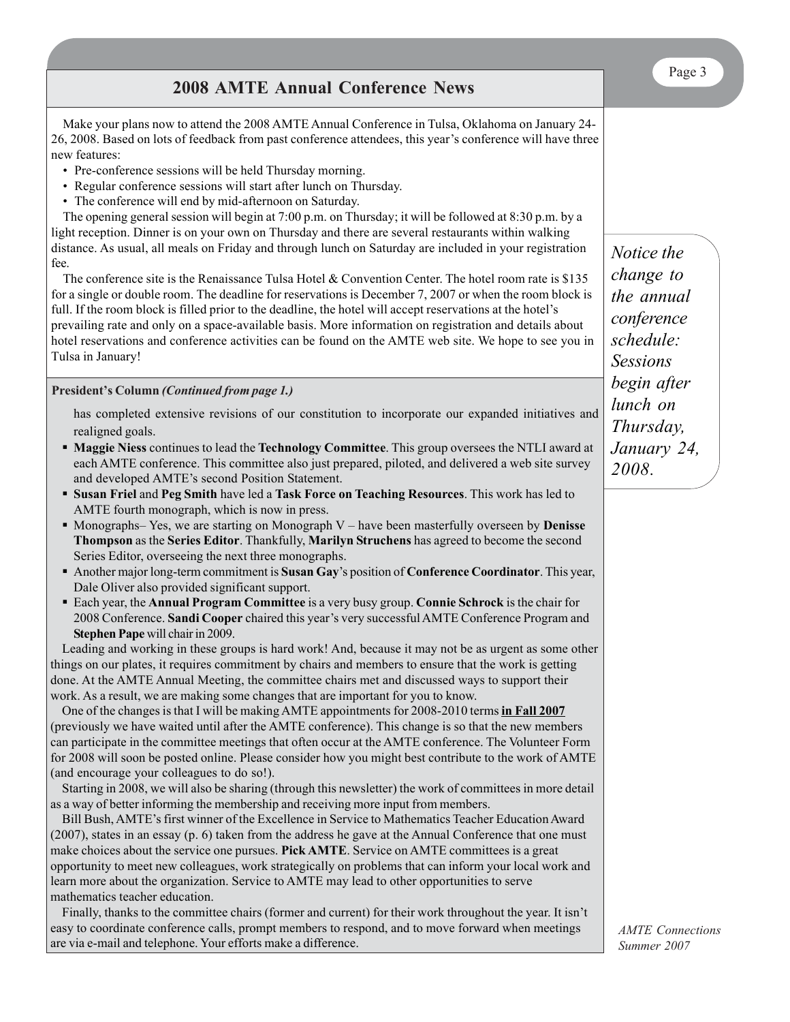**2008 AMTE Annual Conference News**

Make your plans now to attend the 2008 AMTE Annual Conference in Tulsa, Oklahoma on January 24- 26, 2008. Based on lots of feedback from past conference attendees, this year's conference will have three new features:

- Pre-conference sessions will be held Thursday morning.
- Regular conference sessions will start after lunch on Thursday.
- The conference will end by mid-afternoon on Saturday.

The opening general session will begin at 7:00 p.m. on Thursday; it will be followed at 8:30 p.m. by a light reception. Dinner is on your own on Thursday and there are several restaurants within walking distance. As usual, all meals on Friday and through lunch on Saturday are included in your registration fee.

The conference site is the Renaissance Tulsa Hotel & Convention Center. The hotel room rate is \$135 for a single or double room. The deadline for reservations is December 7, 2007 or when the room block is full. If the room block is filled prior to the deadline, the hotel will accept reservations at the hotel's prevailing rate and only on a space-available basis. More information on registration and details about hotel reservations and conference activities can be found on the AMTE web site. We hope to see you in Tulsa in January!

## **President's Column** *(Continued from page 1.)*

has completed extensive revisions of our constitution to incorporate our expanded initiatives and realigned goals.

- **Maggie Niess** continues to lead the **Technology Committee**. This group oversees the NTLI award at each AMTE conference. This committee also just prepared, piloted, and delivered a web site survey and developed AMTE's second Position Statement.
- **Susan Friel** and **Peg Smith** have led a **Task Force on Teaching Resources**. This work has led to AMTE fourth monograph, which is now in press.
- **Monographs– Yes, we are starting on Monograph V** have been masterfully overseen by **Denisse Thompson** as the **Series Editor**. Thankfully, **Marilyn Struchens** has agreed to become the second Series Editor, overseeing the next three monographs.
- Another major long-term commitment is **Susan Gay**'s position of **Conference Coordinator**. This year, Dale Oliver also provided significant support.
- Each year, the **Annual Program Committee** is a very busy group. **Connie Schrock** is the chair for 2008 Conference. **Sandi Cooper** chaired this year's very successful AMTE Conference Program and **Stephen Pape** will chair in 2009.

Leading and working in these groups is hard work! And, because it may not be as urgent as some other things on our plates, it requires commitment by chairs and members to ensure that the work is getting done. At the AMTE Annual Meeting, the committee chairs met and discussed ways to support their work. As a result, we are making some changes that are important for you to know.

One of the changes is that I will be making AMTE appointments for 2008-2010 terms **in Fall 2007** (previously we have waited until after the AMTE conference). This change is so that the new members can participate in the committee meetings that often occur at the AMTE conference. The Volunteer Form for 2008 will soon be posted online. Please consider how you might best contribute to the work of AMTE (and encourage your colleagues to do so!).

Starting in 2008, we will also be sharing (through this newsletter) the work of committees in more detail as a way of better informing the membership and receiving more input from members.

Bill Bush, AMTE's first winner of the Excellence in Service to Mathematics Teacher Education Award (2007), states in an essay (p. 6) taken from the address he gave at the Annual Conference that one must make choices about the service one pursues. **Pick AMTE**. Service on AMTE committees is a great opportunity to meet new colleagues, work strategically on problems that can inform your local work and learn more about the organization. Service to AMTE may lead to other opportunities to serve mathematics teacher education.

Finally, thanks to the committee chairs (former and current) for their work throughout the year. It isn't easy to coordinate conference calls, prompt members to respond, and to move forward when meetings are via e-mail and telephone. Your efforts make a difference.

*Notice the change to the annual conference schedule: Sessions begin after lunch on Thursday, January 24, 2008.*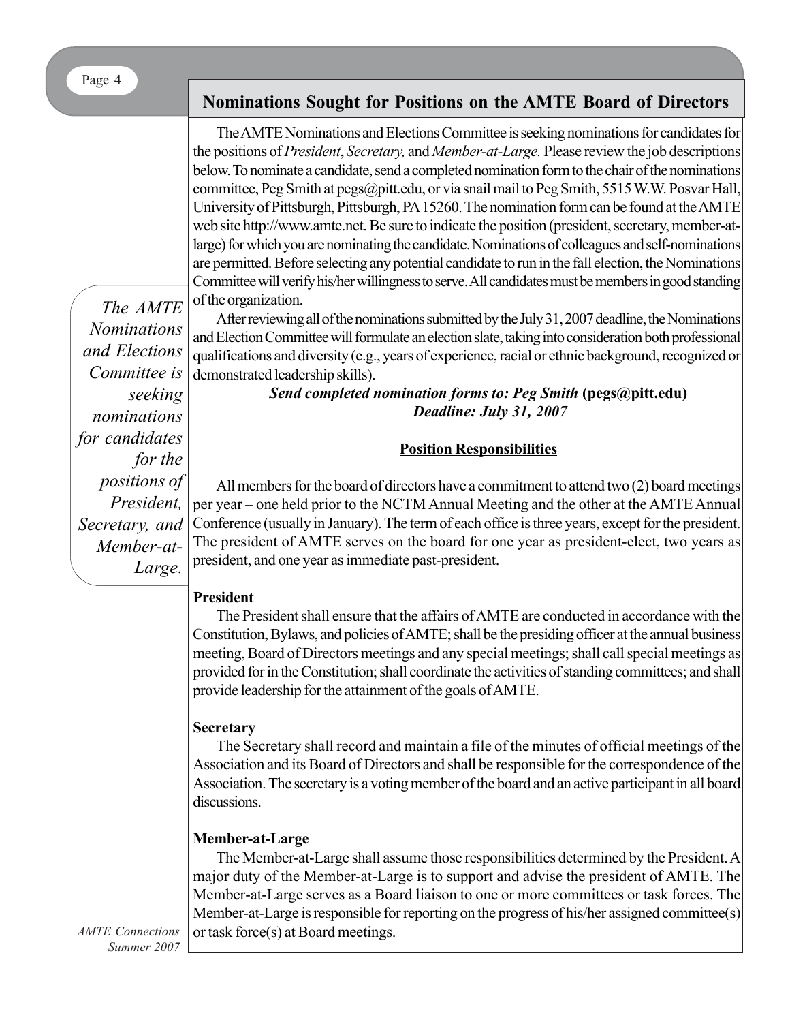Page 4

*The AMTE Nominations and Elections Committee is*

*seeking*

*for the*

*Large.*

*nominations for candidates*

> *positions of President,*

*Secretary, and Member-at-*

# **Nominations Sought for Positions on the AMTE Board of Directors**

The AMTE Nominations and Elections Committee is seeking nominations for candidates for the positions of *President*, *Secretary,* and *Member-at-Large.* Please review the job descriptions below. To nominate a candidate, send a completed nomination form to the chair of the nominations committee, Peg Smith at pegs@pitt.edu, or via snail mail to Peg Smith, 5515 W.W. Posvar Hall, University of Pittsburgh, Pittsburgh, PA 15260. The nomination form can be found at the AMTE web site http://www.amte.net. Be sure to indicate the position (president, secretary, member-atlarge) for which you are nominating the candidate. Nominations of colleagues and self-nominations are permitted. Before selecting any potential candidate to run in the fall election, the Nominations Committee will verify his/her willingness to serve. All candidates must be members in good standing of the organization.

After reviewing all of the nominations submitted by the July 31, 2007 deadline, the Nominations and Election Committee will formulate an election slate, taking into consideration both professional qualifications and diversity (e.g., years of experience, racial or ethnic background, recognized or demonstrated leadership skills).

> *Send completed nomination forms to: Peg Smith* **(pegs@pitt.edu)** *Deadline: July 31, 2007*

# **Position Responsibilities**

All members for the board of directors have a commitment to attend two (2) board meetings per year – one held prior to the NCTM Annual Meeting and the other at the AMTE Annual Conference (usually in January). The term of each office is three years, except for the president. The president of AMTE serves on the board for one year as president-elect, two years as president, and one year as immediate past-president.

# **President**

The President shall ensure that the affairs of AMTE are conducted in accordance with the Constitution, Bylaws, and policies of AMTE; shall be the presiding officer at the annual business meeting, Board of Directors meetings and any special meetings; shall call special meetings as provided for in the Constitution; shall coordinate the activities of standing committees; and shall provide leadership for the attainment of the goals of AMTE.

# **Secretary**

The Secretary shall record and maintain a file of the minutes of official meetings of the Association and its Board of Directors and shall be responsible for the correspondence of the Association. The secretary is a voting member of the board and an active participant in all board discussions.

# **Member-at-Large**

The Member-at-Large shall assume those responsibilities determined by the President. A major duty of the Member-at-Large is to support and advise the president of AMTE. The Member-at-Large serves as a Board liaison to one or more committees or task forces. The Member-at-Large is responsible for reporting on the progress of his/her assigned committee(s) or task force(s) at Board meetings.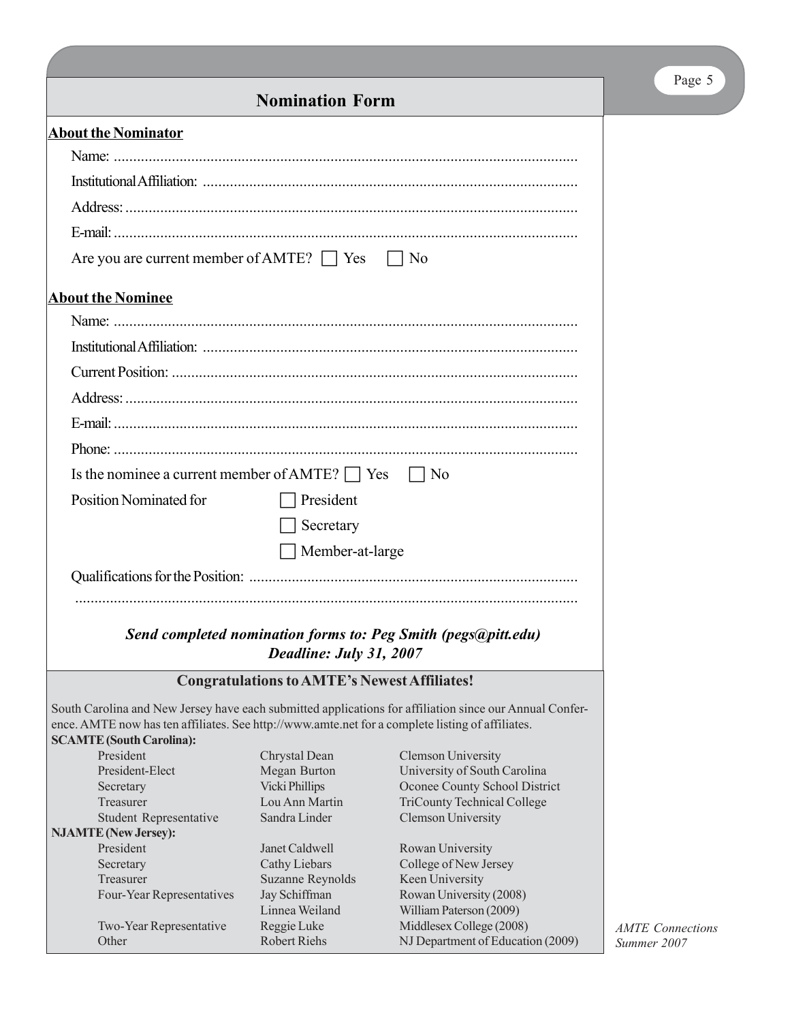|                          | $\vert$   No                                                                                                                                                                                                                                                                                                                                    |  |  |  |  |  |  |  |
|--------------------------|-------------------------------------------------------------------------------------------------------------------------------------------------------------------------------------------------------------------------------------------------------------------------------------------------------------------------------------------------|--|--|--|--|--|--|--|
|                          |                                                                                                                                                                                                                                                                                                                                                 |  |  |  |  |  |  |  |
|                          |                                                                                                                                                                                                                                                                                                                                                 |  |  |  |  |  |  |  |
|                          |                                                                                                                                                                                                                                                                                                                                                 |  |  |  |  |  |  |  |
|                          |                                                                                                                                                                                                                                                                                                                                                 |  |  |  |  |  |  |  |
|                          |                                                                                                                                                                                                                                                                                                                                                 |  |  |  |  |  |  |  |
|                          |                                                                                                                                                                                                                                                                                                                                                 |  |  |  |  |  |  |  |
|                          | Are you are current member of AMTE? $\Box$ Yes                                                                                                                                                                                                                                                                                                  |  |  |  |  |  |  |  |
|                          |                                                                                                                                                                                                                                                                                                                                                 |  |  |  |  |  |  |  |
| <b>About the Nominee</b> |                                                                                                                                                                                                                                                                                                                                                 |  |  |  |  |  |  |  |
|                          |                                                                                                                                                                                                                                                                                                                                                 |  |  |  |  |  |  |  |
|                          |                                                                                                                                                                                                                                                                                                                                                 |  |  |  |  |  |  |  |
|                          |                                                                                                                                                                                                                                                                                                                                                 |  |  |  |  |  |  |  |
|                          |                                                                                                                                                                                                                                                                                                                                                 |  |  |  |  |  |  |  |
|                          |                                                                                                                                                                                                                                                                                                                                                 |  |  |  |  |  |  |  |
|                          |                                                                                                                                                                                                                                                                                                                                                 |  |  |  |  |  |  |  |
|                          |                                                                                                                                                                                                                                                                                                                                                 |  |  |  |  |  |  |  |
|                          | $\vert$   No                                                                                                                                                                                                                                                                                                                                    |  |  |  |  |  |  |  |
|                          |                                                                                                                                                                                                                                                                                                                                                 |  |  |  |  |  |  |  |
|                          |                                                                                                                                                                                                                                                                                                                                                 |  |  |  |  |  |  |  |
|                          |                                                                                                                                                                                                                                                                                                                                                 |  |  |  |  |  |  |  |
|                          |                                                                                                                                                                                                                                                                                                                                                 |  |  |  |  |  |  |  |
|                          |                                                                                                                                                                                                                                                                                                                                                 |  |  |  |  |  |  |  |
|                          |                                                                                                                                                                                                                                                                                                                                                 |  |  |  |  |  |  |  |
|                          | Send completed nomination forms to: Peg Smith (pegs@pitt.edu)                                                                                                                                                                                                                                                                                   |  |  |  |  |  |  |  |
|                          |                                                                                                                                                                                                                                                                                                                                                 |  |  |  |  |  |  |  |
|                          | <b>Congratulations to AMTE's Newest Affiliates!</b>                                                                                                                                                                                                                                                                                             |  |  |  |  |  |  |  |
|                          | South Carolina and New Jersey have each submitted applications for affiliation since our Annual Confer-                                                                                                                                                                                                                                         |  |  |  |  |  |  |  |
|                          | ence. AMTE now has ten affiliates. See http://www.amte.net for a complete listing of affiliates.                                                                                                                                                                                                                                                |  |  |  |  |  |  |  |
|                          |                                                                                                                                                                                                                                                                                                                                                 |  |  |  |  |  |  |  |
|                          | <b>Clemson University</b><br>University of South Carolina                                                                                                                                                                                                                                                                                       |  |  |  |  |  |  |  |
|                          | Oconee County School District                                                                                                                                                                                                                                                                                                                   |  |  |  |  |  |  |  |
|                          | <b>TriCounty Technical College</b>                                                                                                                                                                                                                                                                                                              |  |  |  |  |  |  |  |
|                          | <b>Clemson University</b>                                                                                                                                                                                                                                                                                                                       |  |  |  |  |  |  |  |
|                          |                                                                                                                                                                                                                                                                                                                                                 |  |  |  |  |  |  |  |
|                          | Rowan University                                                                                                                                                                                                                                                                                                                                |  |  |  |  |  |  |  |
|                          | College of New Jersey                                                                                                                                                                                                                                                                                                                           |  |  |  |  |  |  |  |
|                          | Keen University                                                                                                                                                                                                                                                                                                                                 |  |  |  |  |  |  |  |
|                          | Rowan University (2008)                                                                                                                                                                                                                                                                                                                         |  |  |  |  |  |  |  |
|                          | William Paterson (2009)<br>Middlesex College (2008)                                                                                                                                                                                                                                                                                             |  |  |  |  |  |  |  |
|                          | Is the nominee a current member of AMTE? $\Box$ Yes<br>$\Box$ President<br>Secretary<br>$\Box$ Member-at-large<br>Deadline: July 31, 2007<br>Chrystal Dean<br>Megan Burton<br><b>Vicki Phillips</b><br>Lou Ann Martin<br>Sandra Linder<br>Janet Caldwell<br>Cathy Liebars<br>Suzanne Reynolds<br>Jay Schiffman<br>Linnea Weiland<br>Reggie Luke |  |  |  |  |  |  |  |

Other Robert Riehs NJ Department of Education (2009)

# Page 5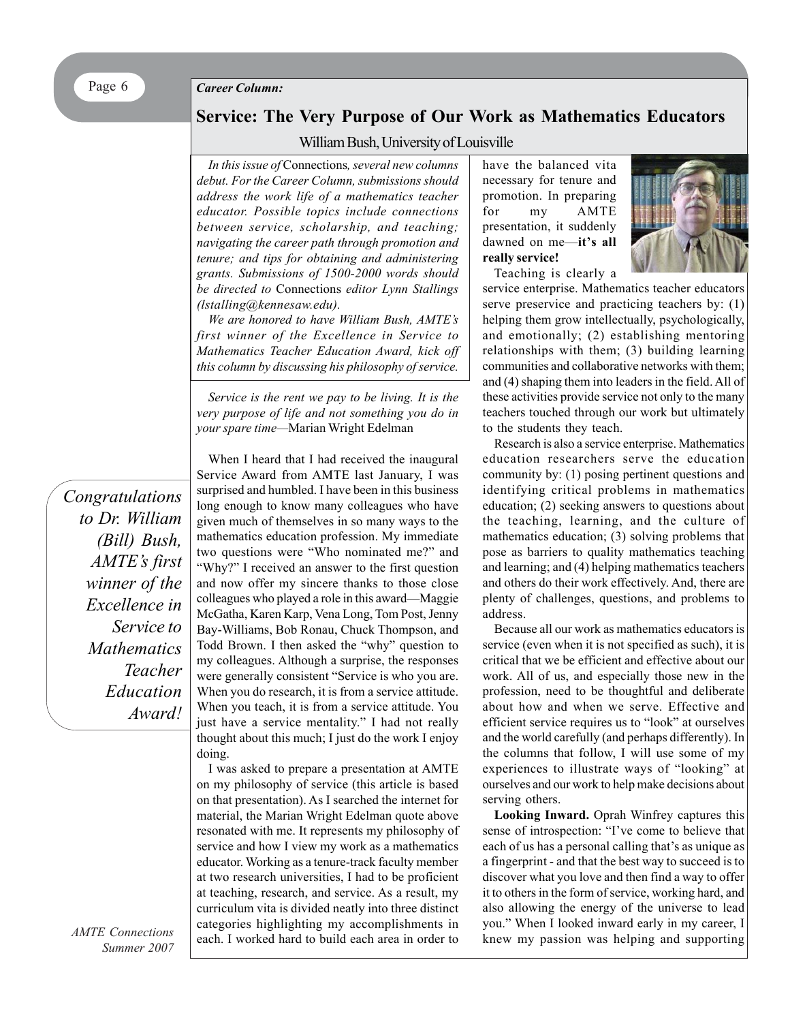#### *Career Column:*

# **Service: The Very Purpose of Our Work as Mathematics Educators**

## William Bush, University of Louisville

*In this issue of* Connections*, several new columns debut. For the Career Column, submissions should address the work life of a mathematics teacher educator. Possible topics include connections between service, scholarship, and teaching; navigating the career path through promotion and tenure; and tips for obtaining and administering grants. Submissions of 1500-2000 words should be directed to* Connections *editor Lynn Stallings (lstalling@kennesaw.edu).*

*We are honored to have William Bush, AMTE's first winner of the Excellence in Service to Mathematics Teacher Education Award, kick off this column by discussing his philosophy of service.*

*Service is the rent we pay to be living. It is the very purpose of life and not something you do in your spare time—*Marian Wright Edelman

*Congratulations to Dr. William (Bill) Bush, AMTE's first winner of the Excellence in Service to Mathematics Teacher Education Award!*

When I heard that I had received the inaugural Service Award from AMTE last January, I was surprised and humbled. I have been in this business long enough to know many colleagues who have given much of themselves in so many ways to the mathematics education profession. My immediate two questions were "Who nominated me?" and "Why?" I received an answer to the first question and now offer my sincere thanks to those close colleagues who played a role in this award—Maggie McGatha, Karen Karp, Vena Long, Tom Post, Jenny Bay-Williams, Bob Ronau, Chuck Thompson, and Todd Brown. I then asked the "why" question to my colleagues. Although a surprise, the responses were generally consistent "Service is who you are. When you do research, it is from a service attitude. When you teach, it is from a service attitude. You just have a service mentality." I had not really thought about this much; I just do the work I enjoy doing.

I was asked to prepare a presentation at AMTE on my philosophy of service (this article is based on that presentation). As I searched the internet for material, the Marian Wright Edelman quote above resonated with me. It represents my philosophy of service and how I view my work as a mathematics educator. Working as a tenure-track faculty member at two research universities, I had to be proficient at teaching, research, and service. As a result, my curriculum vita is divided neatly into three distinct categories highlighting my accomplishments in each. I worked hard to build each area in order to have the balanced vita necessary for tenure and promotion. In preparing for my AMTE presentation, it suddenly dawned on me—**it's all really service!**



Teaching is clearly a

service enterprise. Mathematics teacher educators serve preservice and practicing teachers by: (1) helping them grow intellectually, psychologically, and emotionally; (2) establishing mentoring relationships with them; (3) building learning communities and collaborative networks with them; and (4) shaping them into leaders in the field. All of these activities provide service not only to the many teachers touched through our work but ultimately to the students they teach.

Research is also a service enterprise. Mathematics education researchers serve the education community by: (1) posing pertinent questions and identifying critical problems in mathematics education; (2) seeking answers to questions about the teaching, learning, and the culture of mathematics education; (3) solving problems that pose as barriers to quality mathematics teaching and learning; and (4) helping mathematics teachers and others do their work effectively. And, there are plenty of challenges, questions, and problems to address.

Because all our work as mathematics educators is service (even when it is not specified as such), it is critical that we be efficient and effective about our work. All of us, and especially those new in the profession, need to be thoughtful and deliberate about how and when we serve. Effective and efficient service requires us to "look" at ourselves and the world carefully (and perhaps differently). In the columns that follow, I will use some of my experiences to illustrate ways of "looking" at ourselves and our work to help make decisions about serving others.

**Looking Inward.** Oprah Winfrey captures this sense of introspection: "I've come to believe that each of us has a personal calling that's as unique as a fingerprint - and that the best way to succeed is to discover what you love and then find a way to offer it to others in the form of service, working hard, and also allowing the energy of the universe to lead you." When I looked inward early in my career, I knew my passion was helping and supporting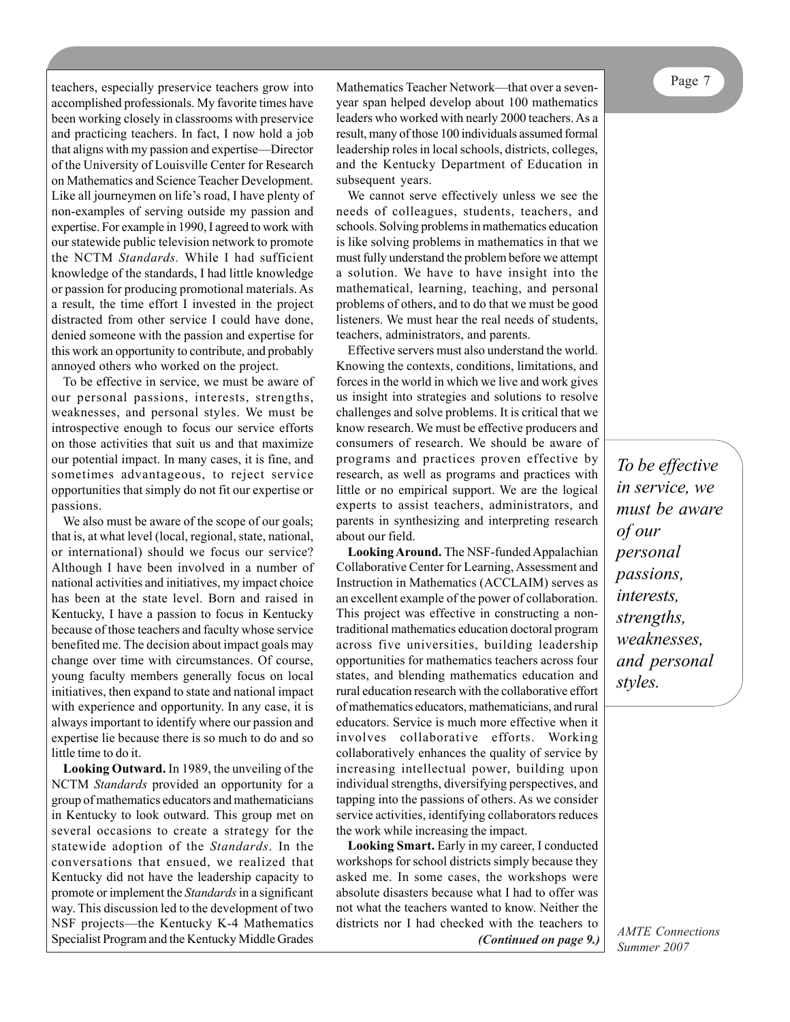Page 7 teachers, especially preservice teachers grow into Mathematics Teacher Network—that over a sevenyear span helped develop about 100 mathematics leaders who worked with nearly 2000 teachers. As a result, many of those 100 individuals assumed formal leadership roles in local schools, districts, colleges, and the Kentucky Department of Education in subsequent years. We cannot serve effectively unless we see the needs of colleagues, students, teachers, and

schools. Solving problems in mathematics education is like solving problems in mathematics in that we must fully understand the problem before we attempt a solution. We have to have insight into the mathematical, learning, teaching, and personal problems of others, and to do that we must be good listeners. We must hear the real needs of students, teachers, administrators, and parents.

Effective servers must also understand the world. Knowing the contexts, conditions, limitations, and forces in the world in which we live and work gives us insight into strategies and solutions to resolve challenges and solve problems. It is critical that we know research. We must be effective producers and consumers of research. We should be aware of programs and practices proven effective by research, as well as programs and practices with little or no empirical support. We are the logical experts to assist teachers, administrators, and parents in synthesizing and interpreting research about our field.

**Looking Around.** The NSF-funded Appalachian Collaborative Center for Learning, Assessment and Instruction in Mathematics (ACCLAIM) serves as an excellent example of the power of collaboration. This project was effective in constructing a nontraditional mathematics education doctoral program across five universities, building leadership opportunities for mathematics teachers across four states, and blending mathematics education and rural education research with the collaborative effort of mathematics educators, mathematicians, and rural educators. Service is much more effective when it involves collaborative efforts. Working collaboratively enhances the quality of service by increasing intellectual power, building upon individual strengths, diversifying perspectives, and tapping into the passions of others. As we consider service activities, identifying collaborators reduces the work while increasing the impact.

**Looking Smart.** Early in my career, I conducted workshops for school districts simply because they asked me. In some cases, the workshops were absolute disasters because what I had to offer was not what the teachers wanted to know. Neither the districts nor I had checked with the teachers to *(Continued on page 9.)*

*To be effective in service, we*

*AMTE Connections Summer 2007*

accomplished professionals. My favorite times have been working closely in classrooms with preservice and practicing teachers. In fact, I now hold a job that aligns with my passion and expertise—Director of the University of Louisville Center for Research on Mathematics and Science Teacher Development. Like all journeymen on life's road, I have plenty of non-examples of serving outside my passion and expertise. For example in 1990, I agreed to work with our statewide public television network to promote the NCTM *Standards.* While I had sufficient knowledge of the standards, I had little knowledge or passion for producing promotional materials. As a result, the time effort I invested in the project distracted from other service I could have done, denied someone with the passion and expertise for this work an opportunity to contribute, and probably annoyed others who worked on the project.

To be effective in service, we must be aware of our personal passions, interests, strengths, weaknesses, and personal styles. We must be introspective enough to focus our service efforts on those activities that suit us and that maximize our potential impact. In many cases, it is fine, and sometimes advantageous, to reject service opportunities that simply do not fit our expertise or passions.

We also must be aware of the scope of our goals; that is, at what level (local, regional, state, national, or international) should we focus our service? Although I have been involved in a number of national activities and initiatives, my impact choice has been at the state level. Born and raised in Kentucky, I have a passion to focus in Kentucky because of those teachers and faculty whose service benefited me. The decision about impact goals may change over time with circumstances. Of course, young faculty members generally focus on local initiatives, then expand to state and national impact with experience and opportunity. In any case, it is always important to identify where our passion and expertise lie because there is so much to do and so little time to do it.

**Looking Outward.** In 1989, the unveiling of the NCTM *Standards* provided an opportunity for a group of mathematics educators and mathematicians in Kentucky to look outward. This group met on several occasions to create a strategy for the statewide adoption of the *Standards*. In the conversations that ensued, we realized that Kentucky did not have the leadership capacity to promote or implement the *Standards* in a significant way. This discussion led to the development of two NSF projects—the Kentucky K-4 Mathematics Specialist Program and the Kentucky Middle Grades

*must be aware of our personal passions, interests, strengths, weaknesses, and personal styles.*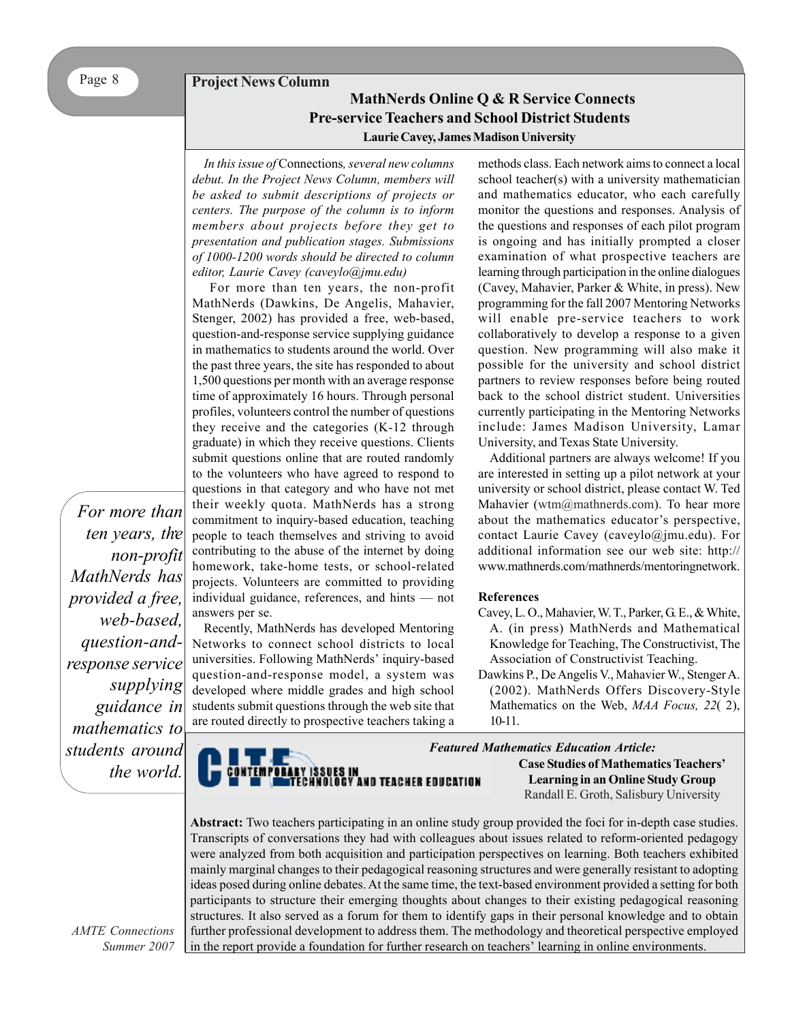# **Project News Column MathNerds Online Q & R Service Connects Pre-service Teachers and School District Students Laurie Cavey, James Madison University**

*In this issue of* Connections*, several new columns debut. In the Project News Column, members will be asked to submit descriptions of projects or centers. The purpose of the column is to inform members about projects before they get to presentation and publication stages. Submissions of 1000-1200 words should be directed to column editor, Laurie Cavey (caveylo@jmu.edu)*

For more than ten years, the non-profit MathNerds (Dawkins, De Angelis, Mahavier, Stenger, 2002) has provided a free, web-based, question-and-response service supplying guidance in mathematics to students around the world. Over the past three years, the site has responded to about 1,500 questions per month with an average response time of approximately 16 hours. Through personal profiles, volunteers control the number of questions they receive and the categories (K-12 through graduate) in which they receive questions. Clients submit questions online that are routed randomly to the volunteers who have agreed to respond to questions in that category and who have not met their weekly quota. MathNerds has a strong commitment to inquiry-based education, teaching people to teach themselves and striving to avoid contributing to the abuse of the internet by doing homework, take-home tests, or school-related projects. Volunteers are committed to providing individual guidance, references, and hints — not answers per se.

Recently, MathNerds has developed Mentoring Networks to connect school districts to local universities. Following MathNerds' inquiry-based question-and-response model, a system was developed where middle grades and high school students submit questions through the web site that are routed directly to prospective teachers taking a methods class. Each network aims to connect a local school teacher(s) with a university mathematician and mathematics educator, who each carefully monitor the questions and responses. Analysis of the questions and responses of each pilot program is ongoing and has initially prompted a closer examination of what prospective teachers are learning through participation in the online dialogues (Cavey, Mahavier, Parker & White, in press). New programming for the fall 2007 Mentoring Networks will enable pre-service teachers to work collaboratively to develop a response to a given question. New programming will also make it possible for the university and school district partners to review responses before being routed back to the school district student. Universities currently participating in the Mentoring Networks include: James Madison University, Lamar University, and Texas State University.

Additional partners are always welcome! If you are interested in setting up a pilot network at your university or school district, please contact W. Ted Mahavier (wtm@mathnerds.com). To hear more about the mathematics educator's perspective, contact Laurie Cavey (caveylo@jmu.edu). For additional information see our web site: http:// www.mathnerds.com/mathnerds/mentoringnetwork.

### **References**

- Cavey, L. O., Mahavier, W. T., Parker, G. E., & White, A. (in press) MathNerds and Mathematical Knowledge for Teaching, The Constructivist, The Association of Constructivist Teaching.
- Dawkins P., De Angelis V., Mahavier W., Stenger A. (2002). MathNerds Offers Discovery-Style Mathematics on the Web, *MAA Focus, 22*( 2), 10-11.

*. ten years, the non-profit MathNerds has provided a free, web-based, question-andresponse service supplying guidance in mathematics to students around the world.*

*For more than*

ISSUES IN<br>HNOLOGY AND TEACHER EDUCATION

*Featured Mathematics Education Article:* **Case Studies of Mathematics Teachers' Learning in an Online Study Group** Randall E. Groth, Salisbury University

**Abstract:** Two teachers participating in an online study group provided the foci for in-depth case studies. Transcripts of conversations they had with colleagues about issues related to reform-oriented pedagogy were analyzed from both acquisition and participation perspectives on learning. Both teachers exhibited mainly marginal changes to their pedagogical reasoning structures and were generally resistant to adopting ideas posed during online debates. At the same time, the text-based environment provided a setting for both participants to structure their emerging thoughts about changes to their existing pedagogical reasoning structures. It also served as a forum for them to identify gaps in their personal knowledge and to obtain further professional development to address them. The methodology and theoretical perspective employed in the report provide a foundation for further research on teachers' learning in online environments.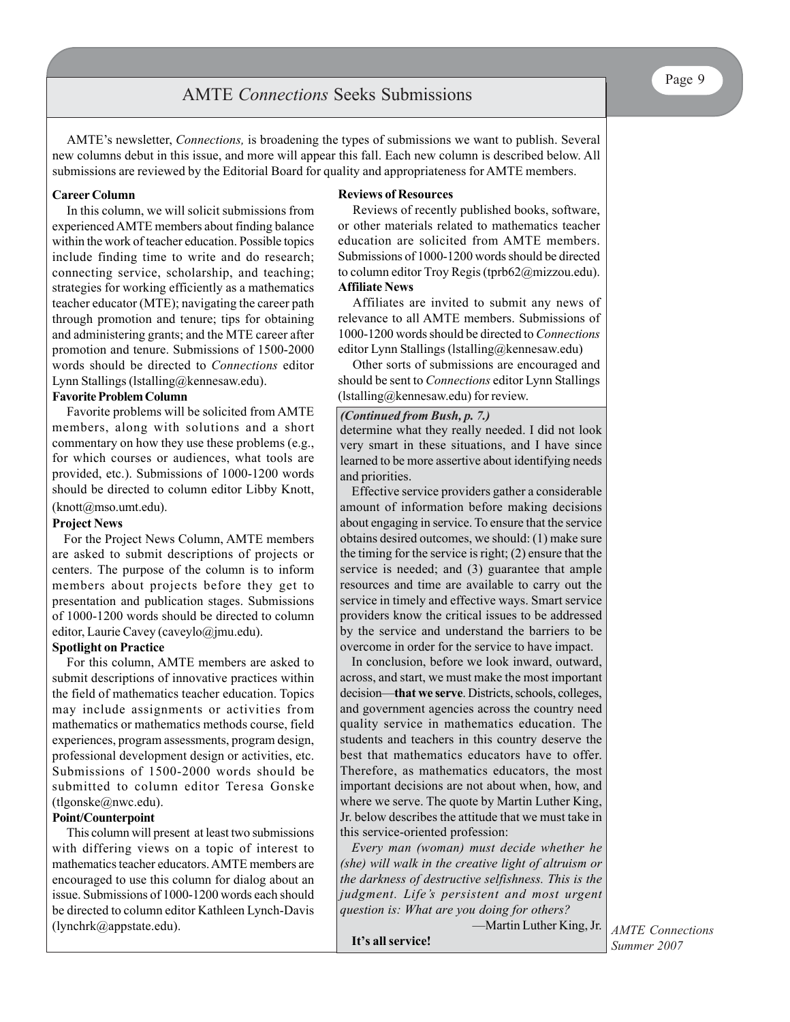# AMTE *Connections* Seeks Submissions

AMTE's newsletter, *Connections,* is broadening the types of submissions we want to publish. Several new columns debut in this issue, and more will appear this fall. Each new column is described below. All submissions are reviewed by the Editorial Board for quality and appropriateness for AMTE members.

## **Career Column**

In this column, we will solicit submissions from experienced AMTE members about finding balance within the work of teacher education. Possible topics include finding time to write and do research; connecting service, scholarship, and teaching; strategies for working efficiently as a mathematics teacher educator (MTE); navigating the career path through promotion and tenure; tips for obtaining and administering grants; and the MTE career after promotion and tenure. Submissions of 1500-2000 words should be directed to *Connections* editor Lynn Stallings (lstalling@kennesaw.edu).

## **Favorite Problem Column**

Favorite problems will be solicited from AMTE members, along with solutions and a short commentary on how they use these problems (e.g., for which courses or audiences, what tools are provided, etc.). Submissions of 1000-1200 words should be directed to column editor Libby Knott, (knott@mso.umt.edu).

#### **Project News**

For the Project News Column, AMTE members are asked to submit descriptions of projects or centers. The purpose of the column is to inform members about projects before they get to presentation and publication stages. Submissions of 1000-1200 words should be directed to column editor, Laurie Cavey (caveylo@jmu.edu).

#### **Spotlight on Practice**

For this column, AMTE members are asked to submit descriptions of innovative practices within the field of mathematics teacher education. Topics may include assignments or activities from mathematics or mathematics methods course, field experiences, program assessments, program design, professional development design or activities, etc. Submissions of 1500-2000 words should be submitted to column editor Teresa Gonske (tlgonske@nwc.edu).

## **Point/Counterpoint**

This column will present at least two submissions with differing views on a topic of interest to mathematics teacher educators. AMTE members are encouraged to use this column for dialog about an issue. Submissions of 1000-1200 words each should be directed to column editor Kathleen Lynch-Davis (lynchrk@appstate.edu).

#### **Reviews of Resources**

Reviews of recently published books, software, or other materials related to mathematics teacher education are solicited from AMTE members. Submissions of 1000-1200 words should be directed to column editor Troy Regis (tprb62@mizzou.edu). **Affiliate News**

Affiliates are invited to submit any news of relevance to all AMTE members. Submissions of 1000-1200 words should be directed to *Connections* editor Lynn Stallings (lstalling@kennesaw.edu)

Other sorts of submissions are encouraged and should be sent to *Connections* editor Lynn Stallings  $($ lstalling@kennesaw.edu) for review.

## *(Continued from Bush, p. 7.)*

determine what they really needed. I did not look very smart in these situations, and I have since learned to be more assertive about identifying needs and priorities.

Effective service providers gather a considerable amount of information before making decisions about engaging in service. To ensure that the service obtains desired outcomes, we should: (1) make sure the timing for the service is right; (2) ensure that the service is needed; and (3) guarantee that ample resources and time are available to carry out the service in timely and effective ways. Smart service providers know the critical issues to be addressed by the service and understand the barriers to be overcome in order for the service to have impact.

In conclusion, before we look inward, outward, across, and start, we must make the most important decision—**that we serve**. Districts, schools, colleges, and government agencies across the country need quality service in mathematics education. The students and teachers in this country deserve the best that mathematics educators have to offer. Therefore, as mathematics educators, the most important decisions are not about when, how, and where we serve. The quote by Martin Luther King, Jr. below describes the attitude that we must take in this service-oriented profession:

*Every man (woman) must decide whether he (she) will walk in the creative light of altruism or the darkness of destructive selfishness. This is the judgment. Life's persistent and most urgent question is: What are you doing for others?*

—Martin Luther King, Jr.

**It's all service!**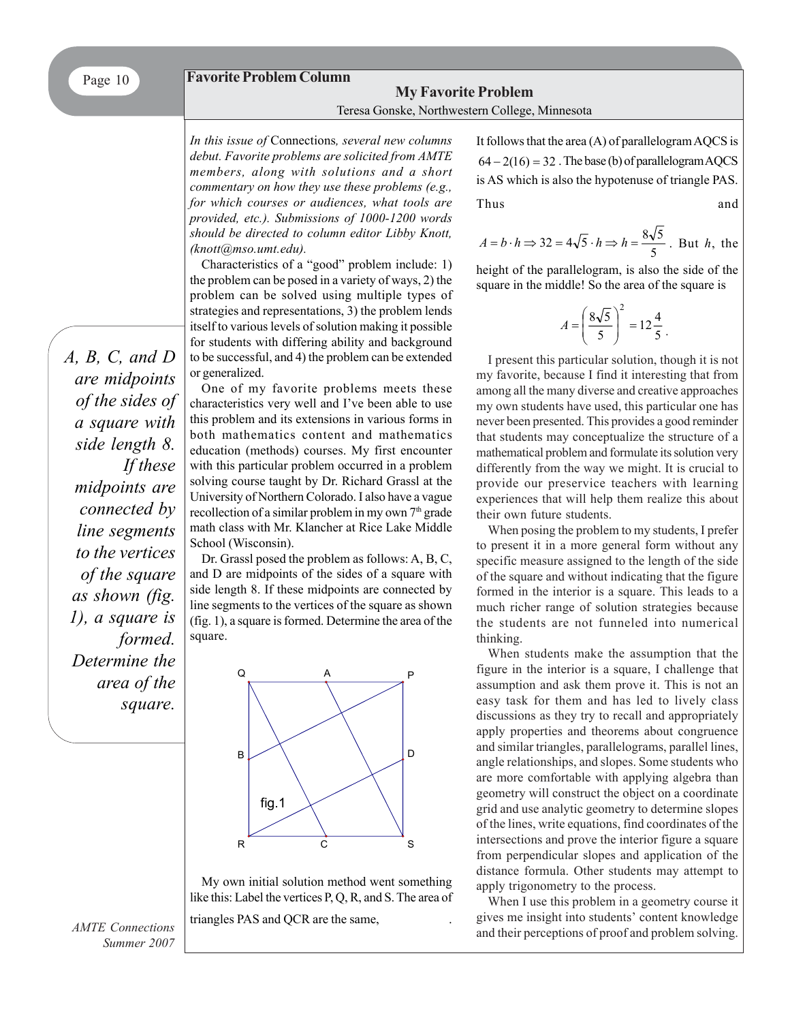## **Favorite Problem Column**

# **My Favorite Problem** Teresa Gonske, Northwestern College, Minnesota

*In this issue of* Connections*, several new columns debut. Favorite problems are solicited from AMTE members, along with solutions and a short commentary on how they use these problems (e.g., for which courses or audiences, what tools are provided, etc.). Submissions of 1000-1200 words should be directed to column editor Libby Knott, (knott@mso.umt.edu).*

Characteristics of a "good" problem include: 1) the problem can be posed in a variety of ways, 2) the problem can be solved using multiple types of strategies and representations, 3) the problem lends itself to various levels of solution making it possible for students with differing ability and background to be successful, and 4) the problem can be extended or generalized.

One of my favorite problems meets these characteristics very well and I've been able to use this problem and its extensions in various forms in both mathematics content and mathematics education (methods) courses. My first encounter with this particular problem occurred in a problem solving course taught by Dr. Richard Grassl at the University of Northern Colorado. I also have a vague recollection of a similar problem in my own 7<sup>th</sup> grade math class with Mr. Klancher at Rice Lake Middle School (Wisconsin).

Dr. Grassl posed the problem as follows: A, B, C, and D are midpoints of the sides of a square with side length 8. If these midpoints are connected by line segments to the vertices of the square as shown (fig. 1), a square is formed. Determine the area of the square.



My own initial solution method went something like this: Label the vertices P, Q, R, and S. The area of

triangles PAS and QCR are the same, .

It follows that the area (A) of parallelogram AQCS is  $64 - 2(16) = 32$ . The base (b) of parallelogram AQCS is AS which is also the hypotenuse of triangle PAS. Thus and

$$
A = b \cdot h \Rightarrow 32 = 4\sqrt{5} \cdot h \Rightarrow h = \frac{8\sqrt{5}}{5}
$$
. But *h*, the

height of the parallelogram, is also the side of the square in the middle! So the area of the square is

$$
A = \left(\frac{8\sqrt{5}}{5}\right)^2 = 12\frac{4}{5}.
$$

I present this particular solution, though it is not my favorite, because I find it interesting that from among all the many diverse and creative approaches my own students have used, this particular one has never been presented. This provides a good reminder that students may conceptualize the structure of a mathematical problem and formulate its solution very differently from the way we might. It is crucial to provide our preservice teachers with learning experiences that will help them realize this about their own future students.

When posing the problem to my students, I prefer to present it in a more general form without any specific measure assigned to the length of the side of the square and without indicating that the figure formed in the interior is a square. This leads to a much richer range of solution strategies because the students are not funneled into numerical thinking.

When students make the assumption that the figure in the interior is a square, I challenge that assumption and ask them prove it. This is not an easy task for them and has led to lively class discussions as they try to recall and appropriately apply properties and theorems about congruence and similar triangles, parallelograms, parallel lines, angle relationships, and slopes. Some students who are more comfortable with applying algebra than geometry will construct the object on a coordinate grid and use analytic geometry to determine slopes of the lines, write equations, find coordinates of the intersections and prove the interior figure a square from perpendicular slopes and application of the distance formula. Other students may attempt to apply trigonometry to the process.

When I use this problem in a geometry course it gives me insight into students' content knowledge and their perceptions of proof and problem solving.

*A, B, C, and D are midpoints of the sides of a square with side length 8. If these midpoints are connected by line segments to the vertices of the square as shown (fig. 1), a square is formed. Determine the area of the square.*

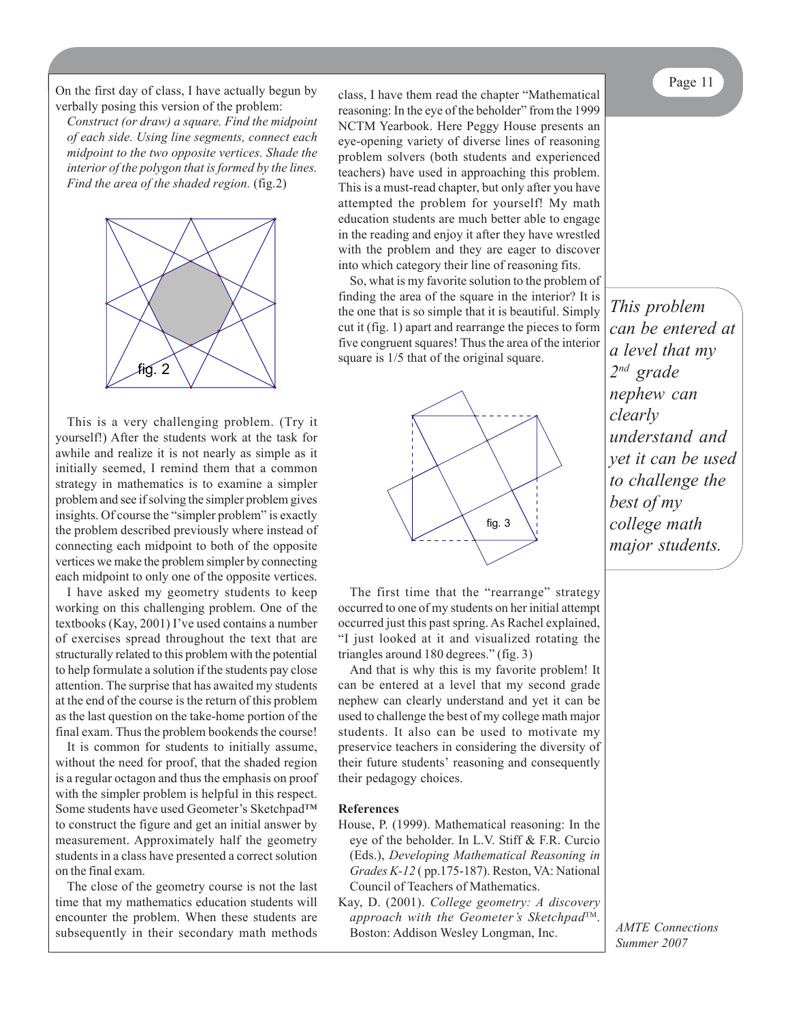On the first day of class, I have actually begun by class. I have them read the chanter "Mathematical Page 11 verbally posing this version of the problem:

*Construct (or draw) a square. Find the midpoint of each side. Using line segments, connect each midpoint to the two opposite vertices. Shade the interior of the polygon that is formed by the lines. Find the area of the shaded region.* (fig.2)



This is a very challenging problem. (Try it yourself!) After the students work at the task for awhile and realize it is not nearly as simple as it initially seemed, I remind them that a common strategy in mathematics is to examine a simpler problem and see if solving the simpler problem gives insights. Of course the "simpler problem" is exactly the problem described previously where instead of connecting each midpoint to both of the opposite vertices we make the problem simpler by connecting each midpoint to only one of the opposite vertices.

I have asked my geometry students to keep working on this challenging problem. One of the textbooks (Kay, 2001) I've used contains a number of exercises spread throughout the text that are structurally related to this problem with the potential to help formulate a solution if the students pay close attention. The surprise that has awaited my students at the end of the course is the return of this problem as the last question on the take-home portion of the final exam. Thus the problem bookends the course!

It is common for students to initially assume, without the need for proof, that the shaded region is a regular octagon and thus the emphasis on proof with the simpler problem is helpful in this respect. Some students have used Geometer's Sketchpad™ to construct the figure and get an initial answer by measurement. Approximately half the geometry students in a class have presented a correct solution on the final exam.

The close of the geometry course is not the last time that my mathematics education students will encounter the problem. When these students are subsequently in their secondary math methods class, I have them read the chapter "Mathematical reasoning: In the eye of the beholder" from the 1999 NCTM Yearbook. Here Peggy House presents an eye-opening variety of diverse lines of reasoning problem solvers (both students and experienced teachers) have used in approaching this problem. This is a must-read chapter, but only after you have attempted the problem for yourself! My math education students are much better able to engage in the reading and enjoy it after they have wrestled with the problem and they are eager to discover into which category their line of reasoning fits.

So, what is my favorite solution to the problem of finding the area of the square in the interior? It is the one that is so simple that it is beautiful. Simply cut it (fig. 1) apart and rearrange the pieces to form five congruent squares! Thus the area of the interior square is  $1/5$  that of the original square.



The first time that the "rearrange" strategy occurred to one of my students on her initial attempt occurred just this past spring. As Rachel explained, "I just looked at it and visualized rotating the triangles around 180 degrees." (fig. 3)

And that is why this is my favorite problem! It can be entered at a level that my second grade nephew can clearly understand and yet it can be used to challenge the best of my college math major students. It also can be used to motivate my preservice teachers in considering the diversity of their future students' reasoning and consequently their pedagogy choices.

#### **References**

- House, P. (1999). Mathematical reasoning: In the eye of the beholder. In L.V. Stiff & F.R. Curcio (Eds.), *Developing Mathematical Reasoning in Grades K-12* ( pp.175-187). Reston, VA: National Council of Teachers of Mathematics.
- Kay, D. (2001). *College geometry: A discovery approach with the Geometer's Sketchpad*TM. Boston: Addison Wesley Longman, Inc.

*This problem can be entered at a level that my 2nd grade nephew can clearly understand and yet it can be used to challenge the best of my college math major students.*